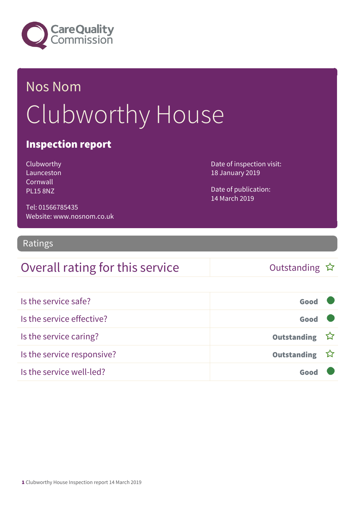

# Nos Nom Clubworthy House

### Inspection report

| Clubworthy       |
|------------------|
| Launceston       |
| Cornwall         |
| <b>PI 15 8N7</b> |

Date of inspection visit: 18 January 2019

Date of publication: 14 March 2019

Tel: 01566785435 Website: www.nosnom.co.uk

#### Ratings

### Overall rating for this service and the Cutstanding  $\hat{x}$

| Is the service safe?       | Good          |  |
|----------------------------|---------------|--|
| Is the service effective?  | Good          |  |
| Is the service caring?     | Outstanding ☆ |  |
| Is the service responsive? | Outstanding ☆ |  |
| Is the service well-led?   |               |  |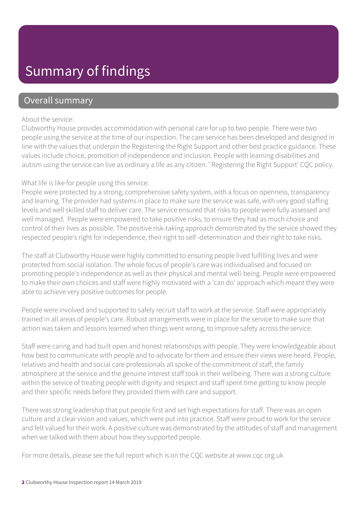### Summary of findings

### Overall summary

#### About the service:

Clubworthy House provides accommodation with personal care for up to two people. There were two people using the service at the time of our inspection. The care service has been developed and designed in line with the values that underpin the Registering the Right Support and other best practice guidance. These values include choice, promotion of independence and inclusion. People with learning disabilities and autism using the service can live as ordinary a life as any citizen. ' Registering the Right Support' CQC policy.

#### What life is like for people using this service:

People were protected by a strong, comprehensive safety system, with a focus on openness, transparency and learning. The provider had systems in place to make sure the service was safe, with very good staffing levels and well skilled staff to deliver care. The service ensured that risks to people were fully assessed and well managed. People were empowered to take positive risks, to ensure they had as much choice and control of their lives as possible. The positive risk-taking approach demonstrated by the service showed they respected people's right for independence, their right to self -determination and their right to take risks.

The staff at Clubworthy House were highly committed to ensuring people lived fulfilling lives and were protected from social isolation. The whole focus of people's care was individualised and focused on promoting people's independence as well as their physical and mental well-being. People were empowered to make their own choices and staff were highly motivated with a 'can do' approach which meant they were able to achieve very positive outcomes for people.

People were involved and supported to safely recruit staff to work at the service. Staff were appropriately trained in all areas of people's care. Robust arrangements were in place for the service to make sure that action was taken and lessons learned when things went wrong, to improve safety across the service.

Staff were caring and had built open and honest relationships with people. They were knowledgeable about how best to communicate with people and to advocate for them and ensure their views were heard. People, relatives and health and social care professionals all spoke of the commitment of staff, the family atmosphere at the service and the genuine interest staff took in their wellbeing. There was a strong culture within the service of treating people with dignity and respect and staff spent time getting to know people and their specific needs before they provided them with care and support.

There was strong leadership that put people first and set high expectations for staff. There was an open culture and a clear vision and values, which were put into practice. Staff were proud to work for the service and felt valued for their work. A positive culture was demonstrated by the attitudes of staff and management when we talked with them about how they supported people.

For more details, please see the full report which is on the CQC website at www.cqc.org.uk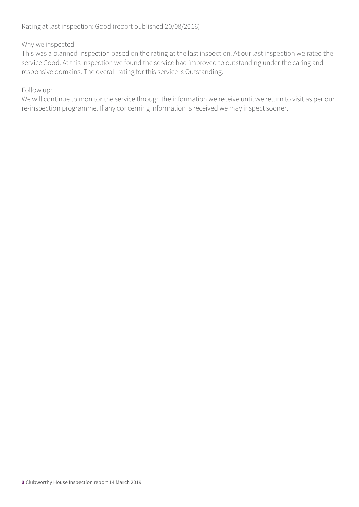#### Why we inspected:

This was a planned inspection based on the rating at the last inspection. At our last inspection we rated the service Good. At this inspection we found the service had improved to outstanding under the caring and responsive domains. The overall rating for this service is Outstanding.

#### Follow up:

We will continue to monitor the service through the information we receive until we return to visit as per our re-inspection programme. If any concerning information is received we may inspect sooner.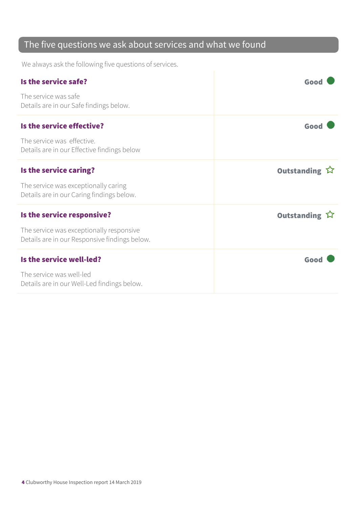### The five questions we ask about services and what we found

We always ask the following five questions of services.

| Is the service safe?                                                                      | Goo                   |
|-------------------------------------------------------------------------------------------|-----------------------|
| The service was safe<br>Details are in our Safe findings below.                           |                       |
| Is the service effective?                                                                 | Good                  |
| The service was effective.<br>Details are in our Effective findings below                 |                       |
| Is the service caring?                                                                    | Outstanding ☆         |
| The service was exceptionally caring<br>Details are in our Caring findings below.         |                       |
| Is the service responsive?                                                                | Outstanding $\hat{W}$ |
| The service was exceptionally responsive<br>Details are in our Responsive findings below. |                       |
| Is the service well-led?                                                                  | Good                  |
| The service was well-led<br>Details are in our Well-Led findings below.                   |                       |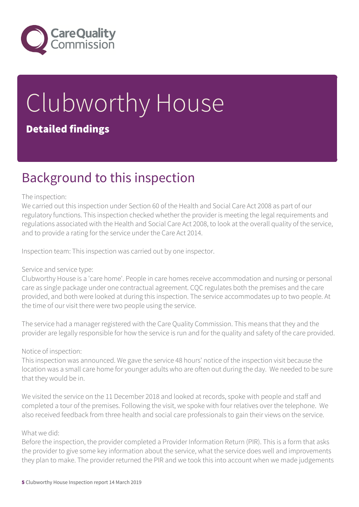

# Clubworthy House Detailed findings

### Background to this inspection

#### The inspection:

We carried out this inspection under Section 60 of the Health and Social Care Act 2008 as part of our regulatory functions. This inspection checked whether the provider is meeting the legal requirements and regulations associated with the Health and Social Care Act 2008, to look at the overall quality of the service, and to provide a rating for the service under the Care Act 2014.

Inspection team: This inspection was carried out by one inspector.

#### Service and service type:

Clubworthy House is a 'care home'. People in care homes receive accommodation and nursing or personal care as single package under one contractual agreement. CQC regulates both the premises and the care provided, and both were looked at during this inspection. The service accommodates up to two people. At the time of our visit there were two people using the service.

The service had a manager registered with the Care Quality Commission. This means that they and the provider are legally responsible for how the service is run and for the quality and safety of the care provided.

Notice of inspection:

This inspection was announced. We gave the service 48 hours' notice of the inspection visit because the location was a small care home for younger adults who are often out during the day. We needed to be sure that they would be in.

We visited the service on the 11 December 2018 and looked at records, spoke with people and staff and completed a tour of the premises. Following the visit, we spoke with four relatives over the telephone. We also received feedback from three health and social care professionals to gain their views on the service.

#### What we did:

Before the inspection, the provider completed a Provider Information Return (PIR). This is a form that asks the provider to give some key information about the service, what the service does well and improvements they plan to make. The provider returned the PIR and we took this into account when we made judgements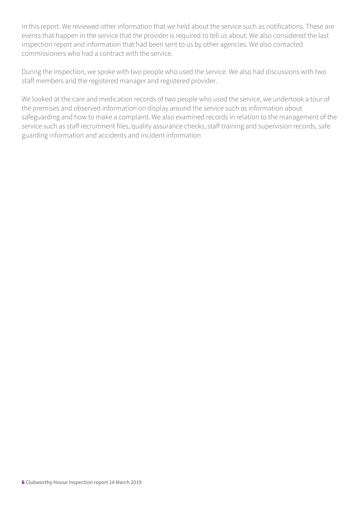in this report. We reviewed other information that we held about the service such as notifications. These are events that happen in the service that the provider is required to tell us about. We also considered the last inspection report and information that had been sent to us by other agencies. We also contacted commissioners who had a contract with the service.

During the inspection, we spoke with two people who used the service. We also had discussions with two staff members and the registered manager and registered provider.

We looked at the care and medication records of two people who used the service, we undertook a tour of the premises and observed information on display around the service such as information about safeguarding and how to make a complaint. We also examined records in relation to the management of the service such as staff recruitment files, quality assurance checks, staff training and supervision records, safe guarding information and accidents and incident information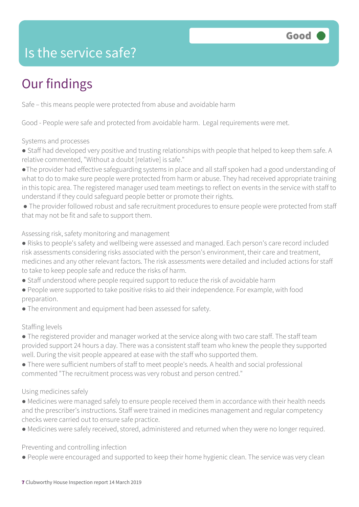

### Is the service safe?

### Our findings

Safe – this means people were protected from abuse and avoidable harm

Good - People were safe and protected from avoidable harm. Legal requirements were met.

#### Systems and processes

- Staff had developed very positive and trusting relationships with people that helped to keep them safe. A relative commented, "Without a doubt [relative] is safe."
- ●The provider had effective safeguarding systems in place and all staff spoken had a good understanding of what to do to make sure people were protected from harm or abuse. They had received appropriate training in this topic area. The registered manager used team meetings to reflect on events in the service with staff to understand if they could safeguard people better or promote their rights.
- The provider followed robust and safe recruitment procedures to ensure people were protected from staff that may not be fit and safe to support them.

#### Assessing risk, safety monitoring and management

- Risks to people's safety and wellbeing were assessed and managed. Each person's care record included risk assessments considering risks associated with the person's environment, their care and treatment, medicines and any other relevant factors. The risk assessments were detailed and included actions for staff to take to keep people safe and reduce the risks of harm.
- Staff understood where people required support to reduce the risk of avoidable harm
- People were supported to take positive risks to aid their independence. For example, with food preparation.
- The environment and equipment had been assessed for safety.

#### Staffing levels

- The registered provider and manager worked at the service along with two care staff. The staff team provided support 24 hours a day. There was a consistent staff team who knew the people they supported well. During the visit people appeared at ease with the staff who supported them.
- There were sufficient numbers of staff to meet people's needs. A health and social professional commented "The recruitment process was very robust and person centred."

#### Using medicines safely

- Medicines were managed safely to ensure people received them in accordance with their health needs and the prescriber's instructions. Staff were trained in medicines management and regular competency checks were carried out to ensure safe practice.
- Medicines were safely received, stored, administered and returned when they were no longer required.

Preventing and controlling infection

● People were encouraged and supported to keep their home hygienic clean. The service was very clean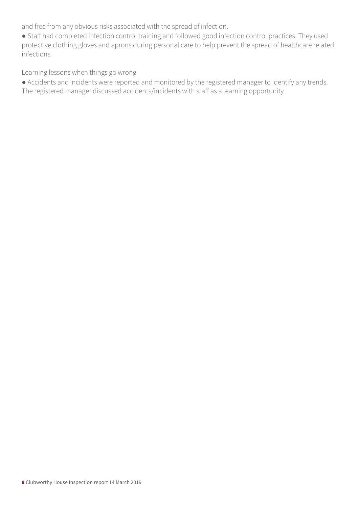and free from any obvious risks associated with the spread of infection.

● Staff had completed infection control training and followed good infection control practices. They used protective clothing gloves and aprons during personal care to help prevent the spread of healthcare related infections.

Learning lessons when things go wrong

● Accidents and incidents were reported and monitored by the registered manager to identify any trends. The registered manager discussed accidents/incidents with staff as a learning opportunity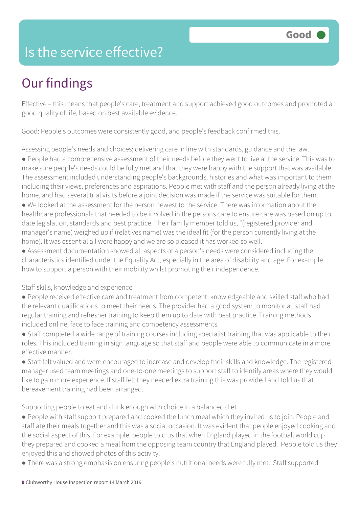### Is the service effective?

# Our findings

Effective – this means that people's care, treatment and support achieved good outcomes and promoted a good quality of life, based on best available evidence.

Good: People's outcomes were consistently good, and people's feedback confirmed this.

Assessing people's needs and choices; delivering care in line with standards, guidance and the law.

● People had a comprehensive assessment of their needs before they went to live at the service. This was to make sure people's needs could be fully met and that they were happy with the support that was available. The assessment included understanding people's backgrounds, histories and what was important to them including their views, preferences and aspirations. People met with staff and the person already living at the home, and had several trial visits before a joint decision was made if the service was suitable for them.

● We looked at the assessment for the person newest to the service. There was information about the healthcare professionals that needed to be involved in the persons care to ensure care was based on up to date legislation, standards and best practice. Their family member told us, "(registered provider and manager's name) weighed up if (relatives name) was the ideal fit (for the person currently living at the home). It was essential all were happy and we are so pleased it has worked so well."

● Assessment documentation showed all aspects of a person's needs were considered including the characteristics identified under the Equality Act, especially in the area of disability and age. For example, how to support a person with their mobility whilst promoting their independence.

Staff skills, knowledge and experience

● People received effective care and treatment from competent, knowledgeable and skilled staff who had the relevant qualifications to meet their needs. The provider had a good system to monitor all staff had regular training and refresher training to keep them up to date with best practice. Training methods included online, face to face training and competency assessments.

● Staff completed a wide range of training courses including specialist training that was applicable to their roles. This included training in sign language so that staff and people were able to communicate in a more effective manner.

● Staff felt valued and were encouraged to increase and develop their skills and knowledge. The registered manager used team meetings and one-to-one meetings to support staff to identify areas where they would like to gain more experience. If staff felt they needed extra training this was provided and told us that bereavement training had been arranged.

Supporting people to eat and drink enough with choice in a balanced diet

● People with staff support prepared and cooked the lunch meal which they invited us to join. People and staff ate their meals together and this was a social occasion. It was evident that people enjoyed cooking and the social aspect of this. For example, people told us that when England played in the football world cup they prepared and cooked a meal from the opposing team country that England played. People told us they enjoyed this and showed photos of this activity.

● There was a strong emphasis on ensuring people's nutritional needs were fully met. Staff supported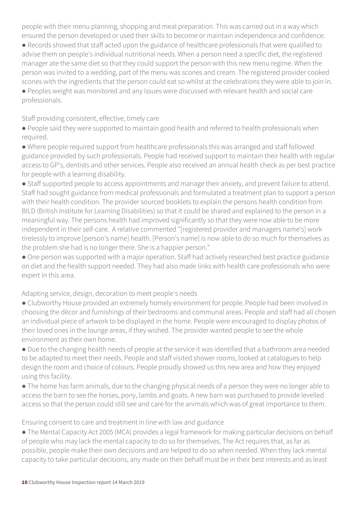people with their menu planning, shopping and meal preparation. This was carried out in a way which ensured the person developed or used their skills to become or maintain independence and confidence.

● Records showed that staff acted upon the guidance of healthcare professionals that were qualified to advise them on people's individual nutritional needs. When a person need a specific diet, the registered manager ate the same diet so that they could support the person with this new menu regime. When the person was invited to a wedding, part of the menu was scones and cream. The registered provider cooked scones with the ingredients that the person could eat so whilst at the celebrations they were able to join in.

● Peoples weight was monitored and any issues were discussed with relevant health and social care professionals.

Staff providing consistent, effective, timely care

- People said they were supported to maintain good health and referred to health professionals when required.
- Where people required support from healthcare professionals this was arranged and staff followed guidance provided by such professionals. People had received support to maintain their health with regular access to GP's, dentists and other services. People also received an annual health check as per best practice for people with a learning disability.
- Staff supported people to access appointments and manage their anxiety, and prevent failure to attend. Staff had sought guidance from medical professionals and formulated a treatment plan to support a person with their health condition. The provider sourced booklets to explain the persons health condition from BILD (British Institute for Learning Disabilities) so that it could be shared and explained to the person in a meaningful way. The persons health had improved significantly so that they were now able to be more independent in their self-care. A relative commented "[registered provider and managers name's] work tirelessly to improve [person's name] health. [Person's name] is now able to do so much for themselves as the problem she had is no longer there. She is a happier person."
- One person was supported with a major operation. Staff had actively researched best practice guidance on diet and the health support needed. They had also made links with health care professionals who were expert in this area.

Adapting service, design, decoration to meet people's needs

- Clubworthy House provided an extremely homely environment for people. People had been involved in choosing the décor and furnishings of their bedrooms and communal areas. People and staff had all chosen an individual piece of artwork to be displayed in the home. People were encouraged to display photos of their loved ones in the lounge areas, if they wished. The provider wanted people to see the whole environment as their own home.
- Due to the changing health needs of people at the service it was identified that a bathroom area needed to be adapted to meet their needs. People and staff visited shower rooms, looked at catalogues to help design the room and choice of colours. People proudly showed us this new area and how they enjoyed using this facility.
- The home has farm animals, due to the changing physical needs of a person they were no longer able to access the barn to see the horses, pony, lambs and goats. A new barn was purchased to provide levelled access so that the person could still see and care for the animals which was of great importance to them.

Ensuring consent to care and treatment in line with law and guidance

• The Mental Capacity Act 2005 (MCA) provides a legal framework for making particular decisions on behalf of people who may lack the mental capacity to do so for themselves. The Act requires that, as far as possible, people make their own decisions and are helped to do so when needed. When they lack mental capacity to take particular decisions, any made on their behalf must be in their best interests and as least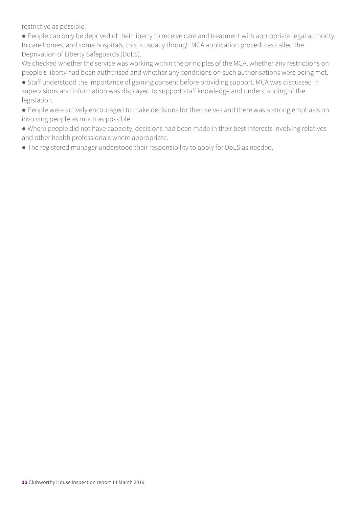restrictive as possible.

● People can only be deprived of their liberty to receive care and treatment with appropriate legal authority. In care homes, and some hospitals, this is usually through MCA application procedures called the Deprivation of Liberty Safeguards (DoLS).

We checked whether the service was working within the principles of the MCA, whether any restrictions on people's liberty had been authorised and whether any conditions on such authorisations were being met.

● Staff understood the importance of gaining consent before providing support. MCA was discussed in supervisions and information was displayed to support staff knowledge and understanding of the legislation.

● People were actively encouraged to make decisions for themselves and there was a strong emphasis on involving people as much as possible.

● Where people did not have capacity, decisions had been made in their best interests involving relatives and other health professionals where appropriate.

● The registered manager understood their responsibility to apply for DoLS as needed.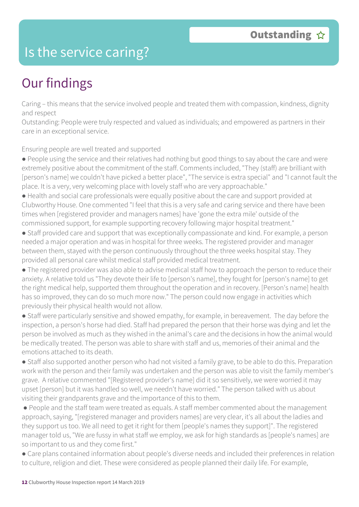### Is the service caring?

# Our findings

Caring – this means that the service involved people and treated them with compassion, kindness, dignity and respect

Outstanding: People were truly respected and valued as individuals; and empowered as partners in their care in an exceptional service.

Ensuring people are well treated and supported

- People using the service and their relatives had nothing but good things to say about the care and were extremely positive about the commitment of the staff. Comments included, "They (staff) are brilliant with [person's name] we couldn't have picked a better place", "The service is extra special" and "I cannot fault the place. It is a very, very welcoming place with lovely staff who are very approachable."
- Health and social care professionals were equally positive about the care and support provided at Clubworthy House. One commented "I feel that this is a very safe and caring service and there have been times when [registered provider and managers names] have 'gone the extra mile' outside of the commissioned support, for example supporting recovery following major hospital treatment."
- Staff provided care and support that was exceptionally compassionate and kind. For example, a person needed a major operation and was in hospital for three weeks. The registered provider and manager between them, stayed with the person continuously throughout the three weeks hospital stay. They provided all personal care whilst medical staff provided medical treatment.
- The registered provider was also able to advise medical staff how to approach the person to reduce their anxiety. A relative told us "They devote their life to [person's name], they fought for [person's name] to get the right medical help, supported them throughout the operation and in recovery. [Person's name] health has so improved, they can do so much more now." The person could now engage in activities which previously their physical health would not allow.
- Staff were particularly sensitive and showed empathy, for example, in bereavement. The day before the inspection, a person's horse had died. Staff had prepared the person that their horse was dying and let the person be involved as much as they wished in the animal's care and the decisions in how the animal would be medically treated. The person was able to share with staff and us, memories of their animal and the emotions attached to its death.
- Staff also supported another person who had not visited a family grave, to be able to do this. Preparation work with the person and their family was undertaken and the person was able to visit the family member's grave. A relative commented "[Registered provider's name] did it so sensitively, we were worried it may upset [person] but it was handled so well, we needn't have worried." The person talked with us about visiting their grandparents grave and the importance of this to them.
- People and the staff team were treated as equals. A staff member commented about the management approach, saying, "[registered manager and providers names] are very clear, it's all about the ladies and they support us too. We all need to get it right for them [people's names they support]". The registered manager told us, "We are fussy in what staff we employ, we ask for high standards as [people's names] are so important to us and they come first."
- Care plans contained information about people's diverse needs and included their preferences in relation to culture, religion and diet. These were considered as people planned their daily life. For example,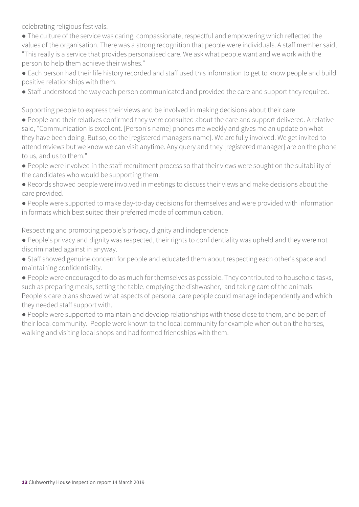celebrating religious festivals.

• The culture of the service was caring, compassionate, respectful and empowering which reflected the values of the organisation. There was a strong recognition that people were individuals. A staff member said, "This really is a service that provides personalised care. We ask what people want and we work with the person to help them achieve their wishes."

● Each person had their life history recorded and staff used this information to get to know people and build positive relationships with them.

● Staff understood the way each person communicated and provided the care and support they required.

Supporting people to express their views and be involved in making decisions about their care

- People and their relatives confirmed they were consulted about the care and support delivered. A relative said, "Communication is excellent. [Person's name] phones me weekly and gives me an update on what they have been doing. But so, do the [registered managers name]. We are fully involved. We get invited to attend reviews but we know we can visit anytime. Any query and they [registered manager] are on the phone to us, and us to them."
- People were involved in the staff recruitment process so that their views were sought on the suitability of the candidates who would be supporting them.
- Records showed people were involved in meetings to discuss their views and make decisions about the care provided.
- People were supported to make day-to-day decisions for themselves and were provided with information in formats which best suited their preferred mode of communication.

Respecting and promoting people's privacy, dignity and independence

- People's privacy and dignity was respected, their rights to confidentiality was upheld and they were not discriminated against in anyway.
- Staff showed genuine concern for people and educated them about respecting each other's space and maintaining confidentiality.
- People were encouraged to do as much for themselves as possible. They contributed to household tasks, such as preparing meals, setting the table, emptying the dishwasher, and taking care of the animals. People's care plans showed what aspects of personal care people could manage independently and which they needed staff support with.
- People were supported to maintain and develop relationships with those close to them, and be part of their local community. People were known to the local community for example when out on the horses, walking and visiting local shops and had formed friendships with them.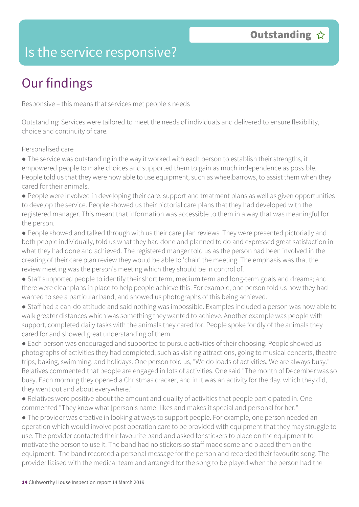### Is the service responsive?

# Our findings

Responsive – this means that services met people's needs

Outstanding: Services were tailored to meet the needs of individuals and delivered to ensure flexibility, choice and continuity of care.

#### Personalised care

- The service was outstanding in the way it worked with each person to establish their strengths, it empowered people to make choices and supported them to gain as much independence as possible. People told us that they were now able to use equipment, such as wheelbarrows, to assist them when they cared for their animals.
- People were involved in developing their care, support and treatment plans as well as given opportunities to develop the service. People showed us their pictorial care plans that they had developed with the registered manager. This meant that information was accessible to them in a way that was meaningful for the person.
- People showed and talked through with us their care plan reviews. They were presented pictorially and both people individually, told us what they had done and planned to do and expressed great satisfaction in what they had done and achieved. The registered manger told us as the person had been involved in the creating of their care plan review they would be able to 'chair' the meeting. The emphasis was that the review meeting was the person's meeting which they should be in control of.
- Staff supported people to identify their short term, medium term and long-term goals and dreams; and there were clear plans in place to help people achieve this. For example, one person told us how they had wanted to see a particular band, and showed us photographs of this being achieved.
- Staff had a can-do attitude and said nothing was impossible. Examples included a person was now able to walk greater distances which was something they wanted to achieve. Another example was people with support, completed daily tasks with the animals they cared for. People spoke fondly of the animals they cared for and showed great understanding of them.
- Each person was encouraged and supported to pursue activities of their choosing. People showed us photographs of activities they had completed, such as visiting attractions, going to musical concerts, theatre trips, baking, swimming, and holidays. One person told us, "We do loads of activities. We are always busy." Relatives commented that people are engaged in lots of activities. One said "The month of December was so busy. Each morning they opened a Christmas cracker, and in it was an activity for the day, which they did, they went out and about everywhere."
- Relatives were positive about the amount and quality of activities that people participated in. One commented "They know what [person's name] likes and makes it special and personal for her."
- The provider was creative in looking at ways to support people. For example, one person needed an operation which would involve post operation care to be provided with equipment that they may struggle to use. The provider contacted their favourite band and asked for stickers to place on the equipment to motivate the person to use it. The band had no stickers so staff made some and placed them on the equipment. The band recorded a personal message for the person and recorded their favourite song. The provider liaised with the medical team and arranged for the song to be played when the person had the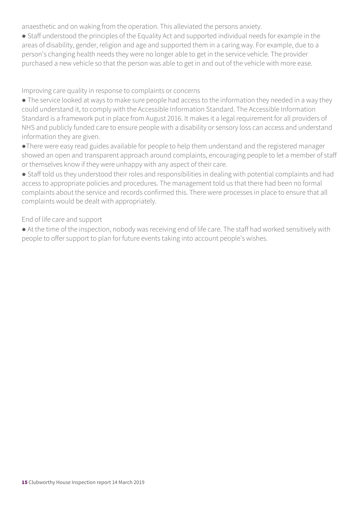anaesthetic and on waking from the operation. This alleviated the persons anxiety.

● Staff understood the principles of the Equality Act and supported individual needs for example in the areas of disability, gender, religion and age and supported them in a caring way. For example, due to a person's changing health needs they were no longer able to get in the service vehicle. The provider purchased a new vehicle so that the person was able to get in and out of the vehicle with more ease.

Improving care quality in response to complaints or concerns

• The service looked at ways to make sure people had access to the information they needed in a way they could understand it, to comply with the Accessible Information Standard. The Accessible Information Standard is a framework put in place from August 2016. It makes it a legal requirement for all providers of NHS and publicly funded care to ensure people with a disability or sensory loss can access and understand information they are given.

●There were easy read guides available for people to help them understand and the registered manager showed an open and transparent approach around complaints, encouraging people to let a member of staff or themselves know if they were unhappy with any aspect of their care.

● Staff told us they understood their roles and responsibilities in dealing with potential complaints and had access to appropriate policies and procedures. The management told us that there had been no formal complaints about the service and records confirmed this. There were processes in place to ensure that all complaints would be dealt with appropriately.

End of life care and support

● At the time of the inspection, nobody was receiving end of life care. The staff had worked sensitively with people to offer support to plan for future events taking into account people's wishes.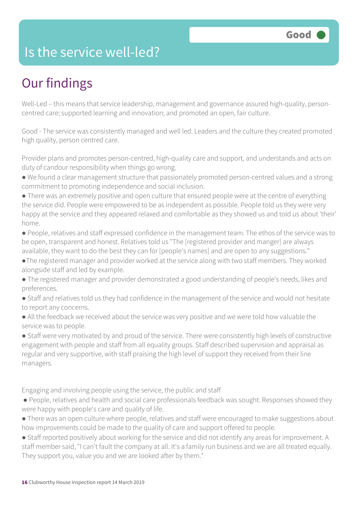### Is the service well-led?

# Our findings

Well-Led – this means that service leadership, management and governance assured high-quality, personcentred care; supported learning and innovation; and promoted an open, fair culture.

Good - The service was consistently managed and well led. Leaders and the culture they created promoted high quality, person centred care.

Provider plans and promotes person-centred, high-quality care and support, and understands and acts on duty of candour responsibility when things go wrong.

- We found a clear management structure that passionately promoted person-centred values and a strong commitment to promoting independence and social inclusion.
- There was an extremely positive and open culture that ensured people were at the centre of everything the service did. People were empowered to be as independent as possible. People told us they were very happy at the service and they appeared relaxed and comfortable as they showed us and told us about 'their' home.
- People, relatives and staff expressed confidence in the management team. The ethos of the service was to be open, transparent and honest. Relatives told us "The [registered provider and manger] are always available, they want to do the best they can for [people's names] and are open to any suggestions."
- ●The registered manager and provider worked at the service along with two staff members. They worked alongside staff and led by example.
- The registered manager and provider demonstrated a good understanding of people's needs, likes and preferences.
- Staff and relatives told us they had confidence in the management of the service and would not hesitate to report any concerns.
- All the feedback we received about the service was very positive and we were told how valuable the service was to people.
- Staff were very motivated by and proud of the service. There were consistently high levels of constructive engagement with people and staff from all equality groups. Staff described supervision and appraisal as regular and very supportive, with staff praising the high level of support they received from their line managers.

Engaging and involving people using the service, the public and staff

- People, relatives and health and social care professionals feedback was sought. Responses showed they were happy with people's care and quality of life.
- There was an open culture where people, relatives and staff were encouraged to make suggestions about how improvements could be made to the quality of care and support offered to people.
- Staff reported positively about working for the service and did not identify any areas for improvement. A staff member said, "I can't fault the company at all. It's a family run business and we are all treated equally. They support you, value you and we are looked after by them."